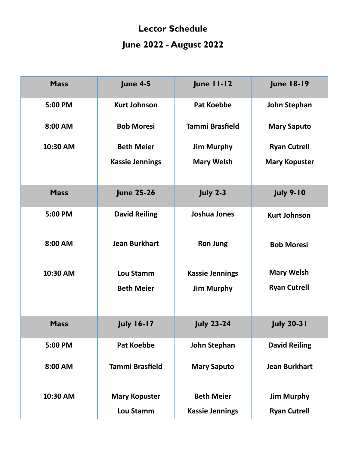## **Lector Schedule June 2022 - August 2022**

| <b>Mass</b> | <b>June 4-5</b>        | <b>June 11-12</b>      | <b>June 18-19</b>    |
|-------------|------------------------|------------------------|----------------------|
| 5:00 PM     | <b>Kurt Johnson</b>    | <b>Pat Koebbe</b>      | <b>John Stephan</b>  |
| 8:00 AM     | <b>Bob Moresi</b>      | <b>Tammi Brasfield</b> | <b>Mary Saputo</b>   |
| 10:30 AM    | <b>Beth Meier</b>      | <b>Jim Murphy</b>      | <b>Ryan Cutrell</b>  |
|             | <b>Kassie Jennings</b> | <b>Mary Welsh</b>      | <b>Mary Kopuster</b> |
| <b>Mass</b> | <b>June 25-26</b>      | <b>July 2-3</b>        | <b>July 9-10</b>     |
| 5:00 PM     | <b>David Reiling</b>   | Joshua Jones           | <b>Kurt Johnson</b>  |
| 8:00 AM     | <b>Jean Burkhart</b>   | <b>Ron Jung</b>        | <b>Bob Moresi</b>    |
| 10:30 AM    | <b>Lou Stamm</b>       | <b>Kassie Jennings</b> | <b>Mary Welsh</b>    |
|             | <b>Beth Meier</b>      | <b>Jim Murphy</b>      | <b>Ryan Cutrell</b>  |
| <b>Mass</b> | <b>July 16-17</b>      | <b>July 23-24</b>      | <b>July 30-31</b>    |
| 5:00 PM     | <b>Pat Koebbe</b>      | John Stephan           | <b>David Reiling</b> |
| 8:00 AM     | <b>Tammi Brasfield</b> | <b>Mary Saputo</b>     | <b>Jean Burkhart</b> |
| 10:30 AM    | <b>Mary Kopuster</b>   | <b>Beth Meier</b>      | <b>Jim Murphy</b>    |
|             | <b>Lou Stamm</b>       | <b>Kassie Jennings</b> | <b>Ryan Cutrell</b>  |